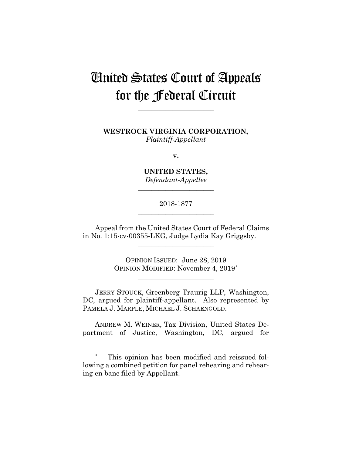# United States Court of Appeals for the Federal Circuit

**\_\_\_\_\_\_\_\_\_\_\_\_\_\_\_\_\_\_\_\_\_\_**

**WESTROCK VIRGINIA CORPORATION,** *Plaintiff-Appellant*

**v.**

**UNITED STATES,** *Defendant-Appellee*

**\_\_\_\_\_\_\_\_\_\_\_\_\_\_\_\_\_\_\_\_\_\_**

## 2018-1877 **\_\_\_\_\_\_\_\_\_\_\_\_\_\_\_\_\_\_\_\_\_\_**

Appeal from the United States Court of Federal Claims in No. 1:15-cv-00355-LKG, Judge Lydia Kay Griggsby.

**\_\_\_\_\_\_\_\_\_\_\_\_\_\_\_\_\_\_\_\_\_\_**

OPINION ISSUED: June 28, 2019 OPINION MODIFIED: November 4, 2019\*

**\_\_\_\_\_\_\_\_\_\_\_\_\_\_\_\_\_\_\_\_\_\_**

JERRY STOUCK, Greenberg Traurig LLP, Washington, DC, argued for plaintiff-appellant. Also represented by PAMELA J. MARPLE, MICHAEL J. SCHAENGOLD.

 ANDREW M. WEINER, Tax Division, United States Department of Justice, Washington, DC, argued for

1

\* This opinion has been modified and reissued following a combined petition for panel rehearing and rehearing en banc filed by Appellant.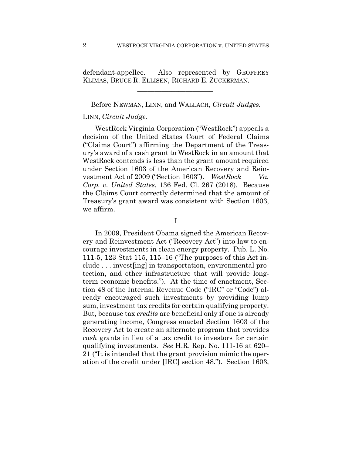defendant-appellee. Also represented by GEOFFREY KLIMAS, BRUCE R. ELLISEN, RICHARD E. ZUCKERMAN.

 $\mathcal{L}_\text{max}$  and  $\mathcal{L}_\text{max}$  and  $\mathcal{L}_\text{max}$  and  $\mathcal{L}_\text{max}$ 

Before NEWMAN, LINN, and WALLACH, *Circuit Judges.*

## LINN, *Circuit Judge.*

WestRock Virginia Corporation ("WestRock") appeals a decision of the United States Court of Federal Claims ("Claims Court") affirming the Department of the Treasury's award of a cash grant to WestRock in an amount that WestRock contends is less than the grant amount required under Section 1603 of the American Recovery and Reinvestment Act of 2009 ("Section 1603"). *WestRock Va. Corp. v. United States*, 136 Fed. Cl. 267 (2018). Because the Claims Court correctly determined that the amount of Treasury's grant award was consistent with Section 1603, we affirm.

I

In 2009, President Obama signed the American Recovery and Reinvestment Act ("Recovery Act") into law to encourage investments in clean energy property. Pub. L. No. 111-5, 123 Stat 115, 115–16 ("The purposes of this Act include . . . invest[ing] in transportation, environmental protection, and other infrastructure that will provide longterm economic benefits."). At the time of enactment, Section 48 of the Internal Revenue Code ("IRC" or "Code") already encouraged such investments by providing lump sum, investment tax credits for certain qualifying property. But, because tax *credits* are beneficial only if one is already generating income, Congress enacted Section 1603 of the Recovery Act to create an alternate program that provides *cash* grants in lieu of a tax credit to investors for certain qualifying investments. *See* H.R. Rep. No. 111-16 at 620– 21 ("It is intended that the grant provision mimic the operation of the credit under [IRC] section 48."). Section 1603,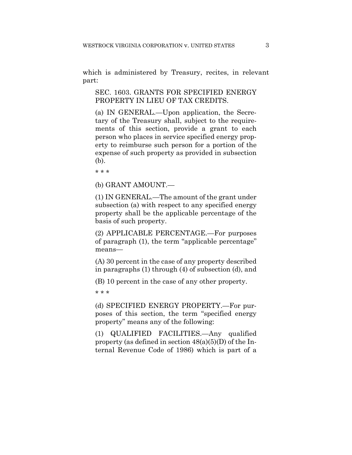which is administered by Treasury, recites, in relevant part:

SEC. 1603. GRANTS FOR SPECIFIED ENERGY PROPERTY IN LIEU OF TAX CREDITS.

(a) IN GENERAL.—Upon application, the Secretary of the Treasury shall, subject to the requirements of this section, provide a grant to each person who places in service specified energy property to reimburse such person for a portion of the expense of such property as provided in subsection (b).

\* \* \*

(b) GRANT AMOUNT.—

(1) IN GENERAL.—The amount of the grant under subsection (a) with respect to any specified energy property shall be the applicable percentage of the basis of such property.

(2) APPLICABLE PERCENTAGE.—For purposes of paragraph (1), the term "applicable percentage" means—

(A) 30 percent in the case of any property described in paragraphs (1) through (4) of subsection (d), and

(B) 10 percent in the case of any other property.

\* \* \*

(d) SPECIFIED ENERGY PROPERTY.—For purposes of this section, the term "specified energy property" means any of the following:

(1) QUALIFIED FACILITIES.—Any qualified property (as defined in section  $48(a)(5)(D)$  of the Internal Revenue Code of 1986) which is part of a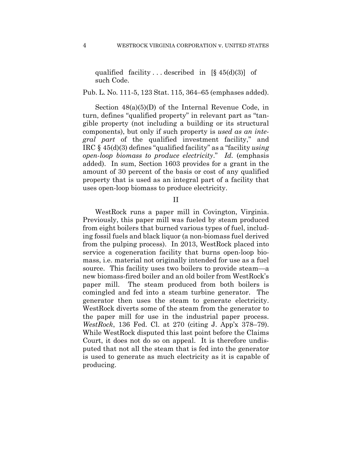qualified facility ... described in  $[\S 45(d)(3)]$  of such Code.

#### Pub. L. No. 111-5, 123 Stat. 115, 364–65 (emphases added).

Section 48(a)(5)(D) of the Internal Revenue Code, in turn, defines "qualified property" in relevant part as "tangible property (not including a building or its structural components), but only if such property is *used as an integral part* of the qualified investment facility," and IRC § 45(d)(3) defines "qualified facility" as a "facility *using open-loop biomass to produce electricity*." *Id.* (emphasis added). In sum, Section 1603 provides for a grant in the amount of 30 percent of the basis or cost of any qualified property that is used as an integral part of a facility that uses open-loop biomass to produce electricity.

II

WestRock runs a paper mill in Covington, Virginia. Previously, this paper mill was fueled by steam produced from eight boilers that burned various types of fuel, including fossil fuels and black liquor (a non-biomass fuel derived from the pulping process). In 2013, WestRock placed into service a cogeneration facility that burns open-loop biomass, i.e. material not originally intended for use as a fuel source. This facility uses two boilers to provide steam—a new biomass-fired boiler and an old boiler from WestRock's paper mill. The steam produced from both boilers is comingled and fed into a steam turbine generator. The generator then uses the steam to generate electricity. WestRock diverts some of the steam from the generator to the paper mill for use in the industrial paper process. *WestRock*, 136 Fed. Cl. at 270 (citing J. App'x 378–79). While WestRock disputed this last point before the Claims Court, it does not do so on appeal. It is therefore undisputed that not all the steam that is fed into the generator is used to generate as much electricity as it is capable of producing.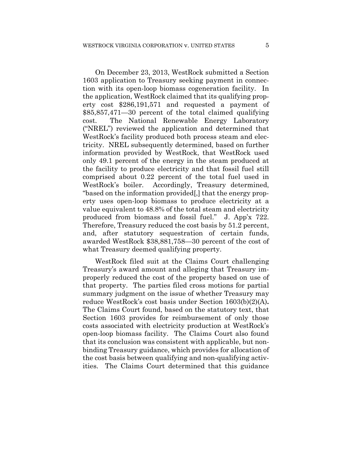On December 23, 2013, WestRock submitted a Section 1603 application to Treasury seeking payment in connection with its open-loop biomass cogeneration facility. In the application, WestRock claimed that its qualifying property cost \$286,191,571 and requested a payment of \$85,857,471—30 percent of the total claimed qualifying cost. The National Renewable Energy Laboratory ("NREL") reviewed the application and determined that WestRock's facility produced both process steam and electricity. NREL subsequently determined, based on further information provided by WestRock, that WestRock used only 49.1 percent of the energy in the steam produced at the facility to produce electricity and that fossil fuel still comprised about 0.22 percent of the total fuel used in WestRock's boiler. Accordingly, Treasury determined, "based on the information provided[,] that the energy property uses open-loop biomass to produce electricity at a value equivalent to 48.8% of the total steam and electricity produced from biomass and fossil fuel." J. App'x 722. Therefore, Treasury reduced the cost basis by 51.2 percent, and, after statutory sequestration of certain funds, awarded WestRock \$38,881,758—30 percent of the cost of what Treasury deemed qualifying property.

WestRock filed suit at the Claims Court challenging Treasury's award amount and alleging that Treasury improperly reduced the cost of the property based on use of that property. The parties filed cross motions for partial summary judgment on the issue of whether Treasury may reduce WestRock's cost basis under Section 1603(b)(2)(A)**.**  The Claims Court found, based on the statutory text, that Section 1603 provides for reimbursement of only those costs associated with electricity production at WestRock's open-loop biomass facility. The Claims Court also found that its conclusion was consistent with applicable, but nonbinding Treasury guidance, which provides for allocation of the cost basis between qualifying and non-qualifying activities. The Claims Court determined that this guidance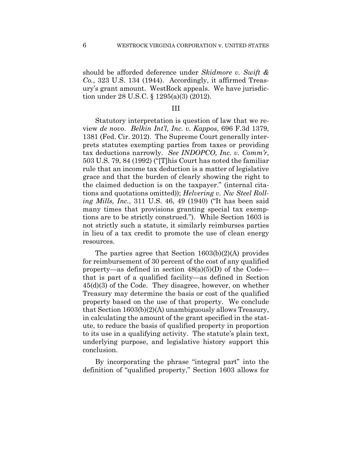should be afforded deference under *Skidmore v. Swift & Co.*, 323 U.S. 134 (1944).Accordingly, it affirmed Treasury's grant amount. WestRock appeals. We have jurisdiction under 28 U.S.C. § 1295(a)(3) (2012).

## III

Statutory interpretation is question of law that we review *de novo*. *Belkin Int'l, Inc. v. Kappos*, 696 F.3d 1379, 1381 (Fed. Cir. 2012). The Supreme Court generally interprets statutes exempting parties from taxes or providing tax deductions narrowly. *See INDOPCO, Inc. v. Comm'r*, 503 U.S. 79, 84 (1992) ("[T]his Court has noted the familiar rule that an income tax deduction is a matter of legislative grace and that the burden of clearly showing the right to the claimed deduction is on the taxpayer." (internal citations and quotations omitted)); *Helvering v. Nw Steel Rolling Mills, Inc.*, 311 U.S. 46, 49 (1940) ("It has been said many times that provisions granting special tax exemptions are to be strictly construed."). While Section 1603 is not strictly such a statute, it similarly reimburses parties in lieu of a tax credit to promote the use of clean energy resources.

The parties agree that Section 1603(b)(2)(A) provides for reimbursement of 30 percent of the cost of any qualified property—as defined in section  $48(a)(5)(D)$  of the Code that is part of a qualified facility—as defined in Section 45(d)(3) of the Code. They disagree, however, on whether Treasury may determine the basis or cost of the qualified property based on the use of that property. We conclude that Section 1603(b)(2)(A) unambiguously allows Treasury, in calculating the amount of the grant specified in the statute, to reduce the basis of qualified property in proportion to its use in a qualifying activity. The statute's plain text, underlying purpose, and legislative history support this conclusion.

By incorporating the phrase "integral part" into the definition of "qualified property," Section 1603 allows for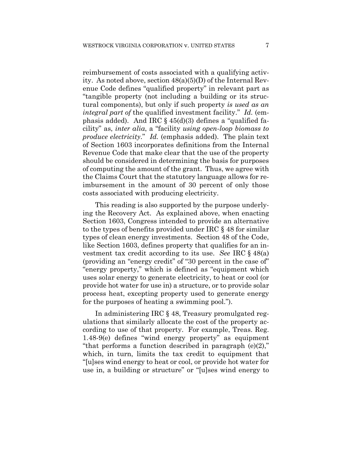reimbursement of costs associated with a qualifying activity. As noted above, section 48(a)(5)(D) of the Internal Revenue Code defines "qualified property" in relevant part as "tangible property (not including a building or its structural components), but only if such property *is used as an integral part of* the qualified investment facility." *Id.* (emphasis added).And IRC § 45(d)(3) defines a "qualified facility" as, *inter alia*, a "facility *using open-loop biomass to produce electricity*." *Id.* (emphasis added).The plain text of Section 1603 incorporates definitions from the Internal Revenue Code that make clear that the use of the property should be considered in determining the basis for purposes of computing the amount of the grant. Thus, we agree with the Claims Court that the statutory language allows for reimbursement in the amount of 30 percent of only those costs associated with producing electricity.

This reading is also supported by the purpose underlying the Recovery Act. As explained above, when enacting Section 1603, Congress intended to provide an alternative to the types of benefits provided under IRC § 48 for similar types of clean energy investments. Section 48 of the Code, like Section 1603, defines property that qualifies for an investment tax credit according to its use. *See* IRC § 48(a) (providing an "energy credit" of "30 percent in the case of" "energy property," which is defined as "equipment which uses solar energy to generate electricity, to heat or cool (or provide hot water for use in) a structure, or to provide solar process heat, excepting property used to generate energy for the purposes of heating a swimming pool.").

In administering IRC § 48, Treasury promulgated regulations that similarly allocate the cost of the property according to use of that property. For example, Treas. Reg. 1.48-9(e) defines "wind energy property" as equipment "that performs a function described in paragraph (e)(2)," which, in turn, limits the tax credit to equipment that "[u]ses wind energy to heat or cool, or provide hot water for use in, a building or structure" or "[u]ses wind energy to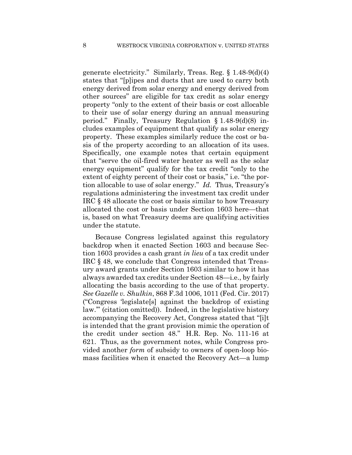generate electricity." Similarly, Treas. Reg. § 1.48-9(d)(4) states that "[p]ipes and ducts that are used to carry both energy derived from solar energy and energy derived from other sources" are eligible for tax credit as solar energy property "only to the extent of their basis or cost allocable to their use of solar energy during an annual measuring period." Finally, Treasury Regulation § 1.48-9(d)(8) includes examples of equipment that qualify as solar energy property. These examples similarly reduce the cost or basis of the property according to an allocation of its uses. Specifically, one example notes that certain equipment that "serve the oil-fired water heater as well as the solar energy equipment" qualify for the tax credit "only to the extent of eighty percent of their cost or basis," i.e. "the portion allocable to use of solar energy." *Id.* Thus, Treasury's regulations administering the investment tax credit under IRC § 48 allocate the cost or basis similar to how Treasury allocated the cost or basis under Section 1603 here—that is, based on what Treasury deems are qualifying activities under the statute.

Because Congress legislated against this regulatory backdrop when it enacted Section 1603 and because Section 1603 provides a cash grant *in lieu* of a tax credit under IRC § 48, we conclude that Congress intended that Treasury award grants under Section 1603 similar to how it has always awarded tax credits under Section 48—i.e., by fairly allocating the basis according to the use of that property. *See Gazelle v. Shulkin*, 868 F.3d 1006, 1011 (Fed. Cir. 2017) ("Congress 'legislate[s] against the backdrop of existing law.'" (citation omitted)). Indeed, in the legislative history accompanying the Recovery Act, Congress stated that "[i]t is intended that the grant provision mimic the operation of the credit under section 48." H.R. Rep. No. 111-16 at 621. Thus, as the government notes, while Congress provided another *form* of subsidy to owners of open-loop biomass facilities when it enacted the Recovery Act—a lump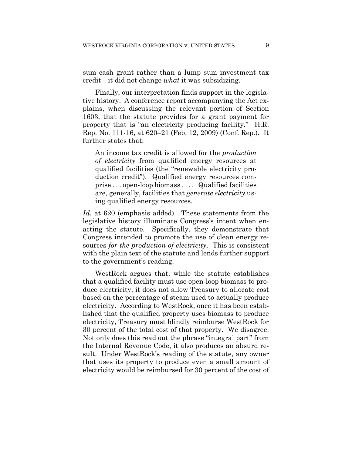sum cash grant rather than a lump sum investment tax credit—it did not change *what* it was subsidizing.

Finally, our interpretation finds support in the legislative history. A conference report accompanying the Act explains, when discussing the relevant portion of Section 1603, that the statute provides for a grant payment for property that is "an electricity producing facility." H.R. Rep. No. 111-16, at 620–21 (Feb. 12, 2009) (Conf. Rep.). It further states that:

An income tax credit is allowed for the *production of electricity* from qualified energy resources at qualified facilities (the "renewable electricity production credit"). Qualified energy resources comprise . . . open-loop biomass . . . . Qualified facilities are, generally, facilities that *generate electricity* using qualified energy resources.

*Id.* at 620 (emphasis added). These statements from the legislative history illuminate Congress's intent when enacting the statute. Specifically, they demonstrate that Congress intended to promote the use of clean energy resources *for the production of electricity*. This is consistent with the plain text of the statute and lends further support to the government's reading.

WestRock argues that, while the statute establishes that a qualified facility must use open-loop biomass to produce electricity, it does not allow Treasury to allocate cost based on the percentage of steam used to actually produce electricity. According to WestRock, once it has been established that the qualified property uses biomass to produce electricity, Treasury must blindly reimburse WestRock for 30 percent of the total cost of that property. We disagree. Not only does this read out the phrase "integral part" from the Internal Revenue Code, it also produces an absurd result. Under WestRock's reading of the statute, any owner that uses its property to produce even a small amount of electricity would be reimbursed for 30 percent of the cost of